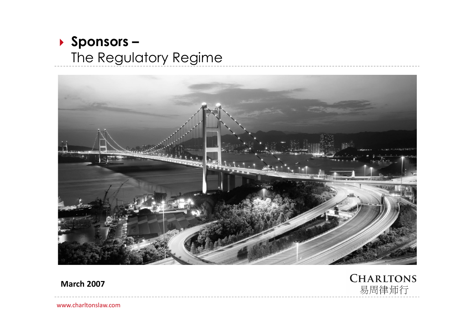### **Sponsors –** The Regulatory Regime



**March 2007**

**CHARLTONS** 易周律师行

www.charltonslaw.com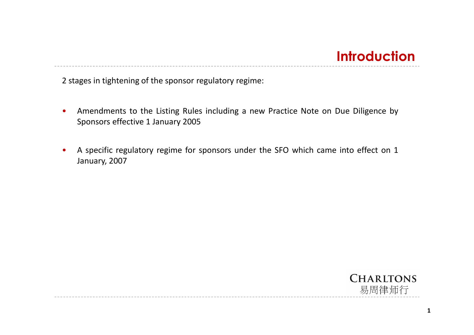### **Introduction**

2 stages in tightening of the sponsor regulatory regime:

- Amendments to the Listing Rules including a new Practice Note on Due Diligence by Sponsors effective 1 January 2005
- A specific regulatory regime for sponsors under the SFO which came into effect on 1 January, 2007

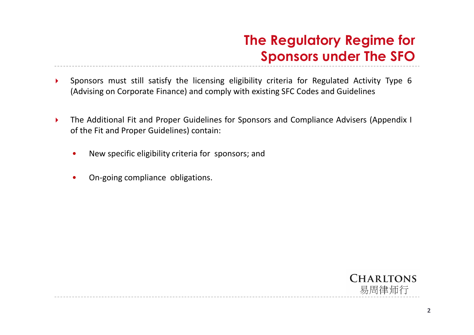### **The Regulatory Regime for Sponsors under The SFO**

- Sponsors must still satisfy the licensing eligibility criteria for Regulated Activity Type 6 (Advising on Corporate Finance) and comply with existing SFC Codes and Guidelines
- The Additional Fit and Proper Guidelines for Sponsors and Compliance Advisers (Appendix I of the Fit and Proper Guidelines) contain:
	- New specific eligibility criteria for sponsors; and
	- On-going compliance obligations.

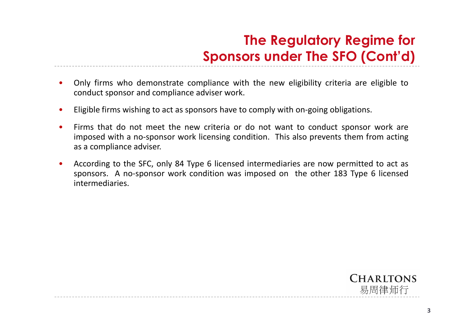# **The Regulatory Regime for Sponsors under The SFO (Cont'd)**

- Only firms who demonstrate compliance with the new eligibility criteria are eligible to conduct sponsor and compliance adviser work.
- Eligible firms wishing to act as sponsors have to comply with on-going obligations.
- Firms that do not meet the new criteria or do not want to conduct sponsor work are imposed with a no-sponsor work licensing condition. This also prevents them from acting as a compliance adviser.
- According to the SFC, only 84 Type 6 licensed intermediaries are now permitted to act as sponsors. A no-sponsor work condition was imposed on the other 183 Type 6 licensed intermediaries.

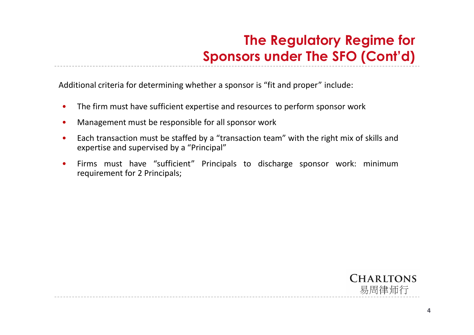# **The Regulatory Regime for Sponsors under The SFO (Cont'd)**

Additional criteria for determining whether a sponsor is "fit and proper" include:

- The firm must have sufficient expertise and resources to perform sponsor work
- Management must be responsible for all sponsor work
- Each transaction must be staffed by a "transaction team" with the right mix of skills and expertise and supervised by a "Principal"
- Firms must have "sufficient" Principals to discharge sponsor work: minimum requirement for 2 Principals;

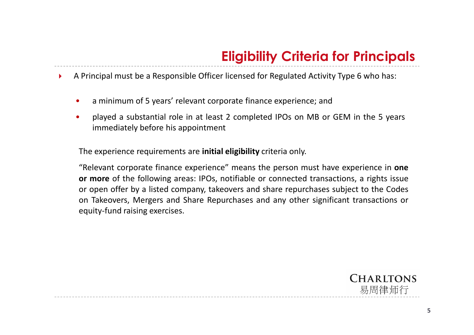A Principal must be a Responsible Officer licensed for Regulated Activity Type 6 who has:

- a minimum of 5 years' relevant corporate finance experience; and
- played a substantial role in at least 2 completed IPOs on MB or GEM in the 5 years immediately before his appointment

The experience requirements are **initial eligibility** criteria only.

"Relevant corporate finance experience" means the person must have experience in **one or more** of the following areas: IPOs, notifiable or connected transactions, a rights issue or open offer by a listed company, takeovers and share repurchases subject to the Codes on Takeovers, Mergers and Share Repurchases and any other significant transactions or equity-fund raising exercises.

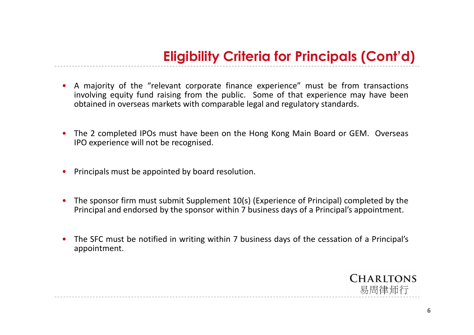- A majority of the "relevant corporate finance experience" must be from transactions involving equity fund raising from the public. Some of that experience may have been obtained in overseas markets with comparable legal and regulatory standards.
- The 2 completed IPOs must have been on the Hong Kong Main Board or GEM. Overseas IPO experience will not be recognised.
- Principals must be appointed by board resolution.
- The sponsor firm must submit Supplement 10(s) (Experience of Principal) completed by the Principal and endorsed by the sponsor within 7 business days of a Principal's appointment.
- The SFC must be notified in writing within 7 business days of the cessation of a Principal's appointment.

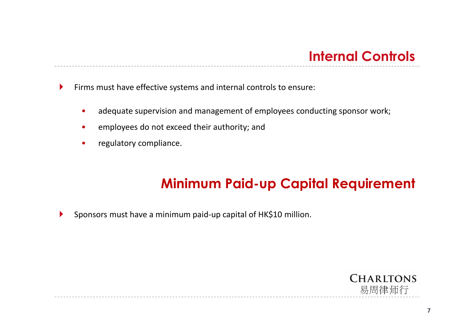Firms must have effective systems and internal controls to ensure:

- adequate supervision and management of employees conducting sponsor work;
- employees do not exceed their authority; and
- regulatory compliance.

### **Minimum Paid-up Capital Requirement**

Sponsors must have a minimum paid-up capital of HK\$10 million.

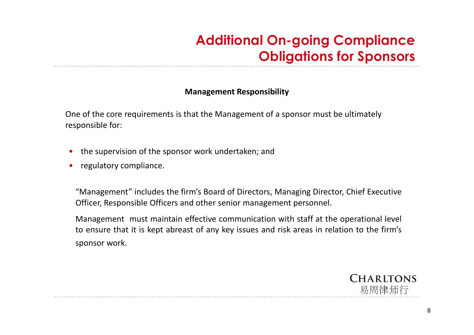# **Additional On-going Compliance Obligations for Sponsors**

### **Management Responsibility**

One of the core requirements is that the Management of a sponsor must be ultimately responsible for:

- the supervision of the sponsor work undertaken; and
- regulatory compliance.

"Management" includes the firm's Board of Directors, Managing Director, Chief Executive Officer, Responsible Officers and other senior management personnel.

Management must maintain effective communication with staff at the operational level to ensure that it is kept abreast of any key issues and risk areas in relation to the firm's sponsor work.

> **CHARLTONS** 易周律师行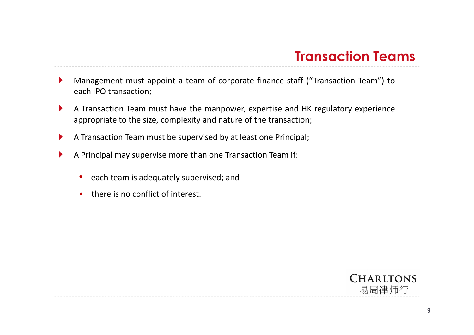- Management must appoint a team of corporate finance staff ("Transaction Team") to each IPO transaction;
- A Transaction Team must have the manpower, expertise and HK regulatory experience appropriate to the size, complexity and nature of the transaction;
- A Transaction Team must be supervised by at least one Principal;
- A Principal may supervise more than one Transaction Team if:
	- each team is adequately supervised; and
	- there is no conflict of interest.

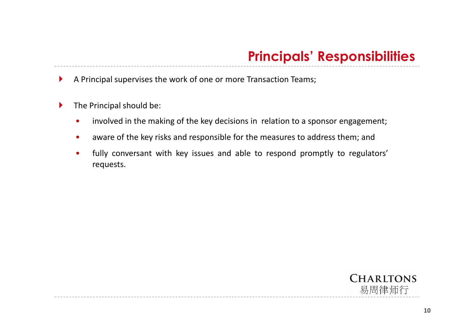A Principal supervises the work of one or more Transaction Teams;

- $\blacktriangleright$  The Principal should be:
	- involved in the making of the key decisions in relation to a sponsor engagement;
	- aware of the key risks and responsible for the measures to address them; and
	- fully conversant with key issues and able to respond promptly to regulators' requests.

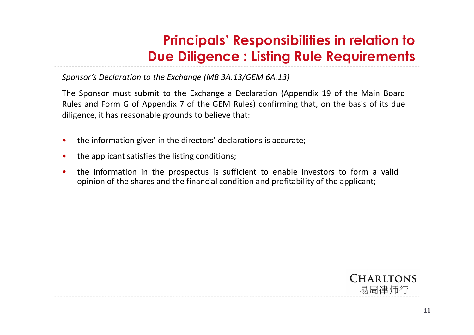*Sponsor's Declaration to the Exchange (MB 3A.13/GEM 6A.13)*

The Sponsor must submit to the Exchange a Declaration (Appendix 19 of the Main Board Rules and Form G of Appendix 7 of the GEM Rules) confirming that, on the basis of its due diligence, it has reasonable grounds to believe that:

- the information given in the directors' declarations is accurate;
- the applicant satisfies the listing conditions;
- the information in the prospectus is sufficient to enable investors to form a valid opinion of the shares and the financial condition and profitability of the applicant;

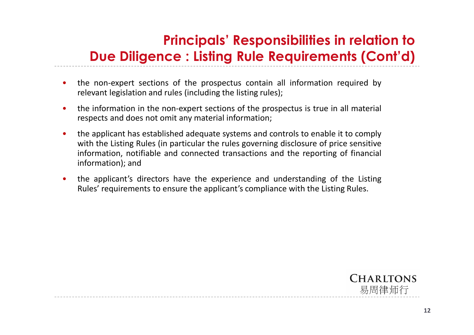- the non-expert sections of the prospectus contain all information required by relevant legislation and rules (including the listing rules);
- the information in the non-expert sections of the prospectus is true in all material respects and does not omit any material information;
- the applicant has established adequate systems and controls to enable it to comply with the Listing Rules (in particular the rules governing disclosure of price sensitive information, notifiable and connected transactions and the reporting of financial information); and
- the applicant's directors have the experience and understanding of the Listing Rules' requirements to ensure the applicant's compliance with the Listing Rules.

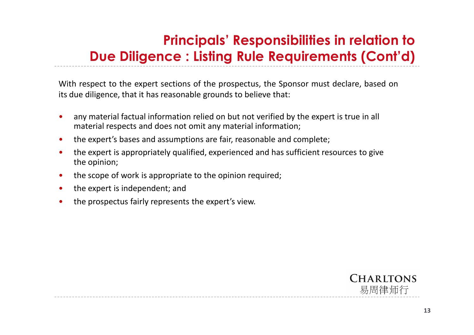With respect to the expert sections of the prospectus, the Sponsor must declare, based on its due diligence, that it has reasonable grounds to believe that:

- any material factual information relied on but not verified by the expert is true in all material respects and does not omit any material information;
- the expert's bases and assumptions are fair, reasonable and complete;
- the expert is appropriately qualified, experienced and has sufficient resources to give the opinion;
- the scope of work is appropriate to the opinion required;
- the expert is independent; and
- the prospectus fairly represents the expert's view.

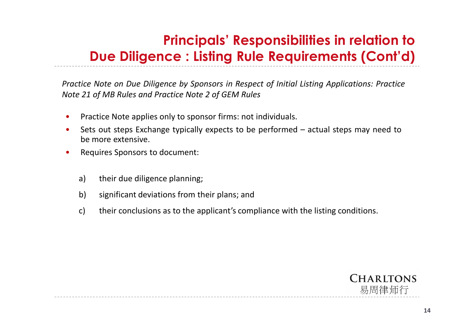*Practice Note on Due Diligence by Sponsors in Respect of Initial Listing Applications: Practice Note 21 of MB Rules and Practice Note 2 of GEM Rules*

- Practice Note applies only to sponsor firms: not individuals.
- Sets out steps Exchange typically expects to be performed actual steps may need to be more extensive.
- Requires Sponsors to document:
	- a) their due diligence planning;
	- b) significant deviations from their plans; and
	- c) their conclusions as to the applicant's compliance with the listing conditions.

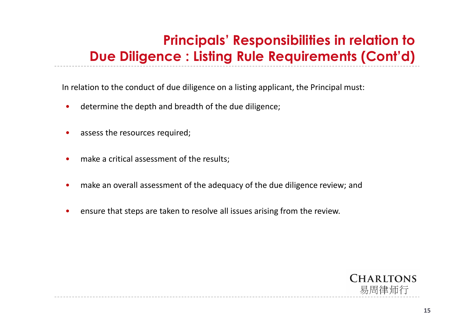In relation to the conduct of due diligence on a listing applicant, the Principal must:

- determine the depth and breadth of the due diligence;
- assess the resources required;
- make a critical assessment of the results;
- make an overall assessment of the adequacy of the due diligence review; and
- ensure that steps are taken to resolve all issues arising from the review.

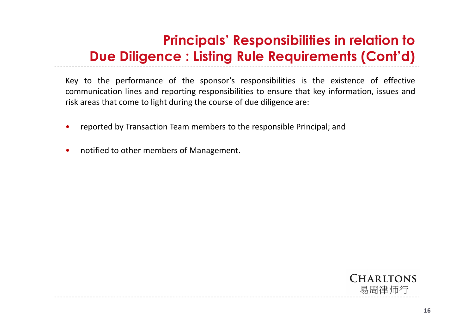Key to the performance of the sponsor's responsibilities is the existence of effective communication lines and reporting responsibilities to ensure that key information, issues and risk areas that come to light during the course of due diligence are:

- reported by Transaction Team members to the responsible Principal; and
- notified to other members of Management.

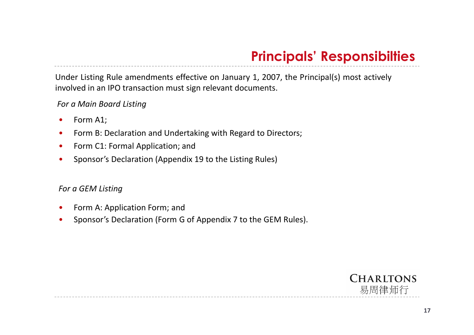### **Principals' Responsibilties**

Under Listing Rule amendments effective on January 1, 2007, the Principal(s) most actively involved in an IPO transaction must sign relevant documents.

*For a Main Board Listing*

- Form A1;
- Form B: Declaration and Undertaking with Regard to Directors;
- Form C1: Formal Application; and
- Sponsor's Declaration (Appendix 19 to the Listing Rules)

### *For a GEM Listing*

- Form A: Application Form; and
- Sponsor's Declaration (Form G of Appendix 7 to the GEM Rules).

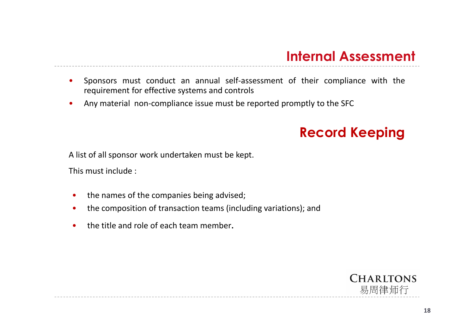### **Internal Assessment**

- Sponsors must conduct an annual self-assessment of their compliance with the requirement for effective systems and controls
- Any material non-compliance issue must be reported promptly to the SFC

### **Record Keeping**

A list of all sponsor work undertaken must be kept.

This must include :

- the names of the companies being advised;
- the composition of transaction teams (including variations); and
- the title and role of each team member.

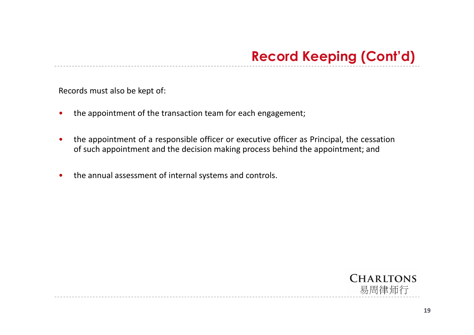Records must also be kept of:

- the appointment of the transaction team for each engagement;
- the appointment of a responsible officer or executive officer as Principal, the cessation of such appointment and the decision making process behind the appointment; and
- the annual assessment of internal systems and controls.

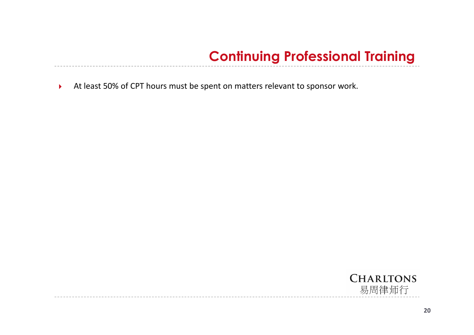# **Continuing Professional Training**

At least 50% of CPT hours must be spent on matters relevant to sponsor work.

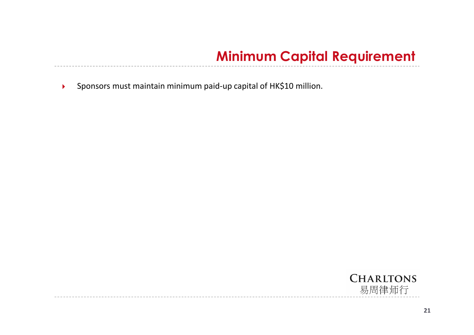### **Minimum Capital Requirement**

Sponsors must maintain minimum paid-up capital of HK\$10 million.

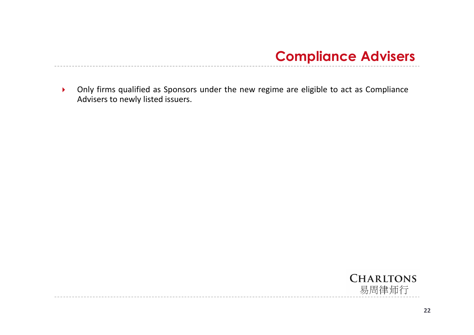

 Only firms qualified as Sponsors under the new regime are eligible to act as Compliance Advisers to newly listed issuers.

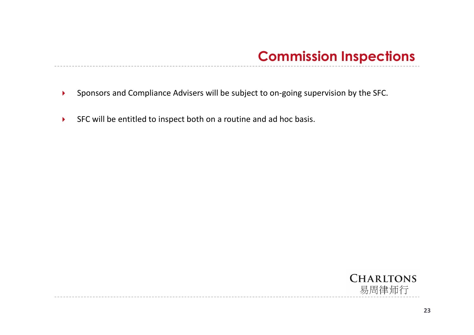- Sponsors and Compliance Advisers will be subject to on-going supervision by the SFC.
- SFC will be entitled to inspect both on a routine and ad hoc basis.

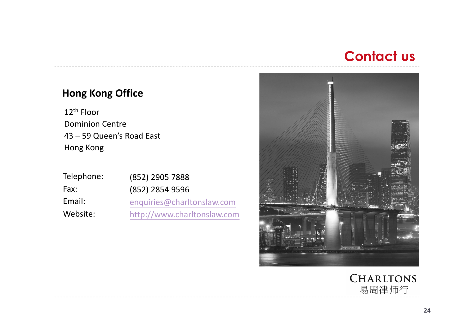### **Contact us**

### **Hong Kong Office**

12th Floor Dominion Centre 43 – 59 Queen's Road East Hong Kong

| Telephone: | (852) 2905 7888             |
|------------|-----------------------------|
| Fax:       | (852) 2854 9596             |
| Email:     | enquiries@charltonslaw.com  |
| Website:   | http://www.charltonslaw.com |



**CHARLTONS** 易周律师行